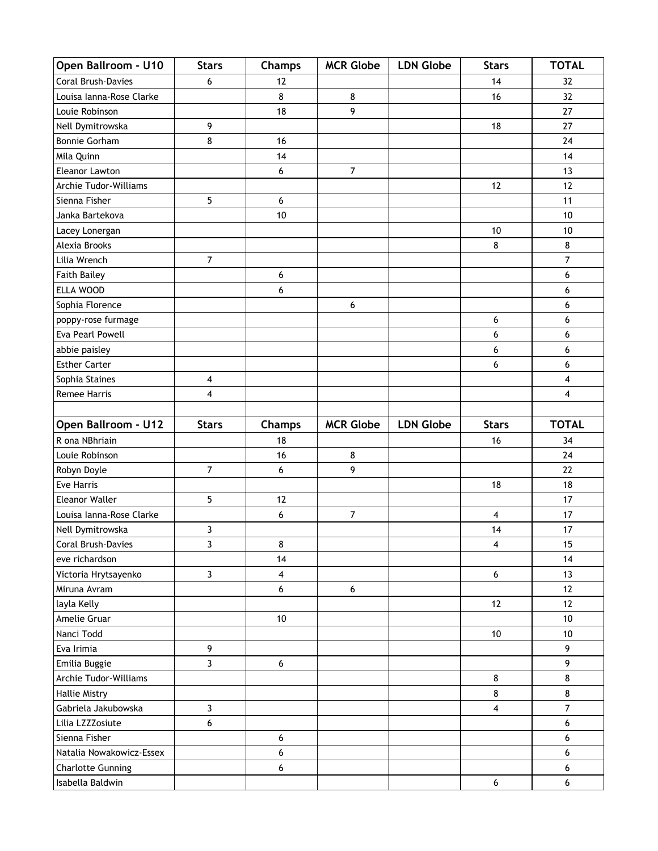| Open Ballroom - U10              | <b>Stars</b>            | Champs        | <b>MCR Globe</b> | <b>LDN Globe</b> | <b>Stars</b>            | <b>TOTAL</b>            |
|----------------------------------|-------------------------|---------------|------------------|------------------|-------------------------|-------------------------|
| Coral Brush-Davies               | 6                       | 12            |                  |                  | 14                      | 32                      |
| Louisa Ianna-Rose Clarke         |                         | 8             | 8                |                  | 16                      | 32                      |
| Louie Robinson                   |                         | 18            | 9                |                  |                         | 27                      |
| Nell Dymitrowska                 | 9                       |               |                  |                  | 18                      | 27                      |
| Bonnie Gorham                    | 8                       | 16            |                  |                  |                         | 24                      |
| Mila Quinn                       |                         | 14            |                  |                  |                         | 14                      |
| Eleanor Lawton                   |                         | 6             | $\overline{7}$   |                  |                         | 13                      |
| Archie Tudor-Williams            |                         |               |                  |                  | 12                      | 12                      |
| Sienna Fisher                    | 5                       | 6             |                  |                  |                         | 11                      |
| Janka Bartekova                  |                         | 10            |                  |                  |                         | 10                      |
| Lacey Lonergan                   |                         |               |                  |                  | 10                      | 10                      |
| Alexia Brooks                    |                         |               |                  |                  | 8                       | 8                       |
| Lilia Wrench                     | $\overline{7}$          |               |                  |                  |                         | 7                       |
| <b>Faith Bailey</b>              |                         | 6             |                  |                  |                         | 6                       |
| ELLA WOOD                        |                         | 6             |                  |                  |                         | 6                       |
| Sophia Florence                  |                         |               | 6                |                  |                         | 6                       |
| poppy-rose furmage               |                         |               |                  |                  | 6                       | 6                       |
| Eva Pearl Powell                 |                         |               |                  |                  | 6                       | 6                       |
| abbie paisley                    |                         |               |                  |                  | 6                       | 6                       |
| <b>Esther Carter</b>             |                         |               |                  |                  | 6                       | 6                       |
| Sophia Staines                   | $\overline{\mathbf{4}}$ |               |                  |                  |                         | 4                       |
| <b>Remee Harris</b>              | $\overline{\mathbf{4}}$ |               |                  |                  |                         | $\overline{\mathbf{4}}$ |
|                                  |                         |               |                  |                  |                         |                         |
| Open Ballroom - U12              | <b>Stars</b>            | <b>Champs</b> | <b>MCR Globe</b> | <b>LDN Globe</b> | <b>Stars</b>            | <b>TOTAL</b>            |
| R ona NBhriain<br>Louie Robinson |                         | 18            | 8                |                  | 16                      | 34<br>24                |
|                                  | $\overline{7}$          | 16<br>6       | 9                |                  |                         | 22                      |
| Robyn Doyle<br><b>Eve Harris</b> |                         |               |                  |                  | 18                      | 18                      |
| <b>Eleanor Waller</b>            | 5                       | 12            |                  |                  |                         | 17                      |
| Louisa Ianna-Rose Clarke         |                         | 6             | $\overline{7}$   |                  | $\overline{4}$          | 17                      |
| Nell Dymitrowska                 | 3                       |               |                  |                  | 14                      | 17                      |
| Coral Brush-Davies               | 3                       | 8             |                  |                  | 4                       | 15                      |
| eve richardson                   |                         | 14            |                  |                  |                         | 14                      |
| Victoria Hrytsayenko             | 3                       | 4             |                  |                  | $\boldsymbol{6}$        | 13                      |
| Miruna Avram                     |                         | 6             | $\boldsymbol{6}$ |                  |                         | 12                      |
| layla Kelly                      |                         |               |                  |                  | 12                      | 12                      |
| Amelie Gruar                     |                         | $10\,$        |                  |                  |                         | $10$                    |
| Nanci Todd                       |                         |               |                  |                  | $10\,$                  | $10$                    |
| Eva Irimia                       | 9                       |               |                  |                  |                         | 9                       |
| Emilia Buggie                    | $\overline{3}$          | 6             |                  |                  |                         | 9                       |
| Archie Tudor-Williams            |                         |               |                  |                  | 8                       | 8                       |
| <b>Hallie Mistry</b>             |                         |               |                  |                  | 8                       | 8                       |
| Gabriela Jakubowska              | $\mathbf{3}$            |               |                  |                  | $\overline{\mathbf{4}}$ | $\overline{7}$          |
| Lilia LZZZosiute                 | $6\,$                   |               |                  |                  |                         | 6                       |
| Sienna Fisher                    |                         | 6             |                  |                  |                         | 6                       |
| Natalia Nowakowicz-Essex         |                         | 6             |                  |                  |                         | 6                       |
| <b>Charlotte Gunning</b>         |                         | 6             |                  |                  |                         | 6                       |
| Isabella Baldwin                 |                         |               |                  |                  | 6                       | $\boldsymbol{6}$        |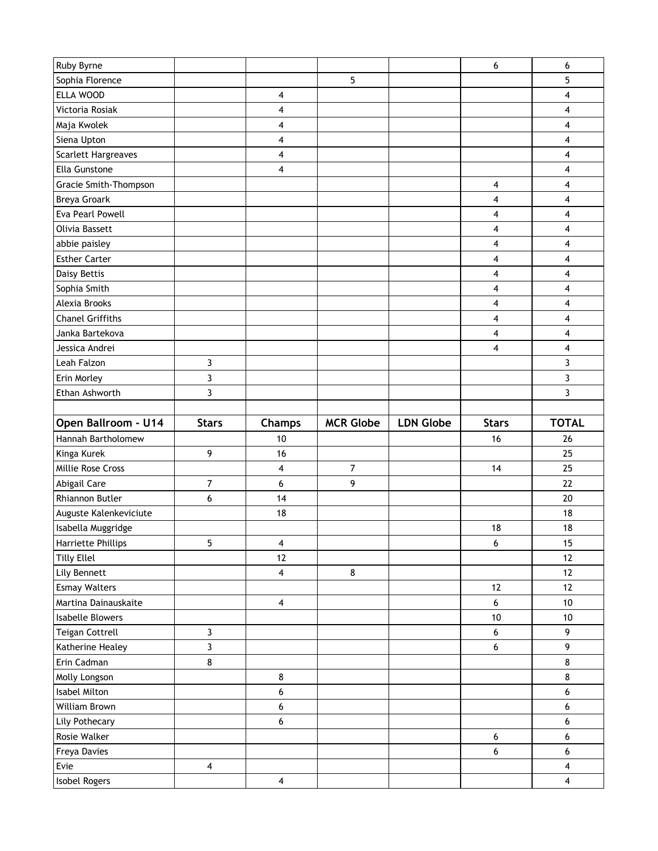| Ruby Byrne              |                         |                         |                  |                  | 6                | 6                                                  |
|-------------------------|-------------------------|-------------------------|------------------|------------------|------------------|----------------------------------------------------|
| Sophia Florence         |                         |                         | 5                |                  |                  | 5                                                  |
| ELLA WOOD               |                         | 4                       |                  |                  |                  | 4                                                  |
| Victoria Rosiak         |                         | 4                       |                  |                  |                  | $\overline{\mathbf{4}}$                            |
| Maja Kwolek             |                         | 4                       |                  |                  |                  | 4                                                  |
| Siena Upton             |                         | 4                       |                  |                  |                  | 4                                                  |
| Scarlett Hargreaves     |                         | 4                       |                  |                  |                  | 4                                                  |
| Ella Gunstone           |                         | 4                       |                  |                  |                  | 4                                                  |
| Gracie Smith-Thompson   |                         |                         |                  |                  | 4                | 4                                                  |
| Breya Groark            |                         |                         |                  |                  | 4                | 4                                                  |
| <b>Eva Pearl Powell</b> |                         |                         |                  |                  | $\overline{4}$   | 4                                                  |
| Olivia Bassett          |                         |                         |                  |                  | 4                | 4                                                  |
| abbie paisley           |                         |                         |                  |                  | 4                | 4                                                  |
| <b>Esther Carter</b>    |                         |                         |                  |                  | $\overline{4}$   | 4                                                  |
| Daisy Bettis            |                         |                         |                  |                  | 4                | 4                                                  |
| Sophia Smith            |                         |                         |                  |                  | 4                | 4                                                  |
| Alexia Brooks           |                         |                         |                  |                  | $\overline{4}$   | $\overline{\mathbf{4}}$                            |
| <b>Chanel Griffiths</b> |                         |                         |                  |                  | 4                | 4                                                  |
| Janka Bartekova         |                         |                         |                  |                  | 4                | 4                                                  |
| Jessica Andrei          |                         |                         |                  |                  | 4                | 4                                                  |
| Leah Falzon             | 3                       |                         |                  |                  |                  | 3                                                  |
| Erin Morley             | 3                       |                         |                  |                  |                  | 3                                                  |
| Ethan Ashworth          | $\overline{3}$          |                         |                  |                  |                  | 3                                                  |
|                         |                         |                         |                  |                  |                  |                                                    |
| Open Ballroom - U14     |                         |                         |                  |                  |                  |                                                    |
|                         | <b>Stars</b>            | <b>Champs</b>           | <b>MCR Globe</b> | <b>LDN Globe</b> | <b>Stars</b>     | <b>TOTAL</b>                                       |
| Hannah Bartholomew      |                         | 10                      |                  |                  | 16               | 26                                                 |
| Kinga Kurek             | 9                       | 16                      |                  |                  |                  | 25                                                 |
| Millie Rose Cross       |                         | 4                       | $\overline{7}$   |                  | 14               | 25                                                 |
| Abigail Care            | 7                       | 6                       | 9                |                  |                  | 22                                                 |
| Rhiannon Butler         | 6                       | 14                      |                  |                  |                  | 20                                                 |
| Auguste Kalenkeviciute  |                         | 18                      |                  |                  |                  | 18                                                 |
| Isabella Muggridge      |                         |                         |                  |                  | 18               | 18                                                 |
| Harriette Phillips      | 5                       | 4                       |                  |                  | 6                | 15                                                 |
| <b>Tilly Ellel</b>      |                         | 12                      |                  |                  |                  | 12                                                 |
| Lily Bennett            |                         | $\overline{\mathbf{4}}$ | 8                |                  |                  | 12                                                 |
| <b>Esmay Walters</b>    |                         |                         |                  |                  | 12               | 12                                                 |
| Martina Dainauskaite    |                         | 4                       |                  |                  | $6\,$            | 10                                                 |
| Isabelle Blowers        |                         |                         |                  |                  | $10\,$           | $10$                                               |
| Teigan Cottrell         | $\mathbf{3}$            |                         |                  |                  | 6                | 9                                                  |
| Katherine Healey        | 3                       |                         |                  |                  | 6                | 9                                                  |
| Erin Cadman             | 8                       |                         |                  |                  |                  | $\bf8$                                             |
| Molly Longson           |                         | 8                       |                  |                  |                  | $\bf 8$                                            |
| Isabel Milton           |                         | 6                       |                  |                  |                  | 6                                                  |
| William Brown           |                         | 6                       |                  |                  |                  | 6                                                  |
| Lily Pothecary          |                         | 6                       |                  |                  |                  | $\boldsymbol{6}$                                   |
| Rosie Walker            |                         |                         |                  |                  | $\boldsymbol{6}$ | $\boldsymbol{6}$                                   |
| Freya Davies            |                         |                         |                  |                  | 6                | 6                                                  |
| Evie<br>Isobel Rogers   | $\overline{\mathbf{4}}$ | $\overline{\mathbf{4}}$ |                  |                  |                  | $\overline{\mathbf{4}}$<br>$\overline{\mathbf{4}}$ |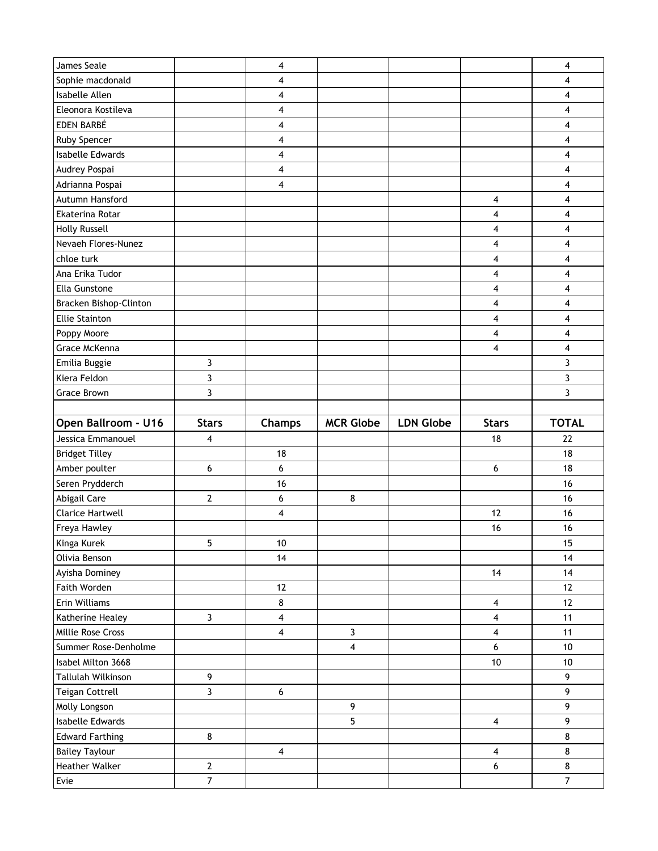| James Seale                   |                                | 4                       |                  |                  |                         | 4                         |
|-------------------------------|--------------------------------|-------------------------|------------------|------------------|-------------------------|---------------------------|
| Sophie macdonald              |                                | 4                       |                  |                  |                         | 4                         |
| Isabelle Allen                |                                | 4                       |                  |                  |                         | 4                         |
| Eleonora Kostileva            |                                | 4                       |                  |                  |                         | 4                         |
| EDEN BARBÉ                    |                                | 4                       |                  |                  |                         | 4                         |
| Ruby Spencer                  |                                | 4                       |                  |                  |                         | 4                         |
| Isabelle Edwards              |                                | 4                       |                  |                  |                         | 4                         |
| Audrey Pospai                 |                                | 4                       |                  |                  |                         | 4                         |
| Adrianna Pospai               |                                | 4                       |                  |                  |                         | 4                         |
| Autumn Hansford               |                                |                         |                  |                  | 4                       | 4                         |
| Ekaterina Rotar               |                                |                         |                  |                  | 4                       | 4                         |
| <b>Holly Russell</b>          |                                |                         |                  |                  | 4                       | 4                         |
| Nevaeh Flores-Nunez           |                                |                         |                  |                  | 4                       | 4                         |
| chloe turk                    |                                |                         |                  |                  | 4                       | 4                         |
| Ana Erika Tudor               |                                |                         |                  |                  | 4                       | 4                         |
| Ella Gunstone                 |                                |                         |                  |                  | 4                       | 4                         |
| Bracken Bishop-Clinton        |                                |                         |                  |                  | 4                       | 4                         |
| <b>Ellie Stainton</b>         |                                |                         |                  |                  | 4                       | 4                         |
| Poppy Moore                   |                                |                         |                  |                  | 4                       | 4                         |
| Grace McKenna                 |                                |                         |                  |                  | 4                       | 4                         |
| Emilia Buggie                 | 3                              |                         |                  |                  |                         | 3                         |
| Kiera Feldon                  | 3                              |                         |                  |                  |                         | 3                         |
| <b>Grace Brown</b>            | 3                              |                         |                  |                  |                         | 3                         |
|                               |                                |                         |                  |                  |                         |                           |
|                               |                                |                         |                  |                  |                         |                           |
| Open Ballroom - U16           | <b>Stars</b>                   | <b>Champs</b>           | <b>MCR Globe</b> | <b>LDN Globe</b> | <b>Stars</b>            | <b>TOTAL</b>              |
| Jessica Emmanouel             | 4                              |                         |                  |                  | 18                      | 22                        |
| <b>Bridget Tilley</b>         |                                | 18                      |                  |                  |                         | 18                        |
| Amber poulter                 | 6                              | 6                       |                  |                  | 6                       | 18                        |
| Seren Prydderch               |                                | 16                      |                  |                  |                         | 16                        |
| Abigail Care                  | $\mathbf{2}$                   | 6                       | 8                |                  |                         | 16                        |
| <b>Clarice Hartwell</b>       |                                | 4                       |                  |                  | 12                      | 16                        |
| Freya Hawley                  |                                |                         |                  |                  | 16                      | 16                        |
| Kinga Kurek                   | 5                              | $10$                    |                  |                  |                         | 15                        |
| Olivia Benson                 |                                | 14                      |                  |                  |                         | 14                        |
| Ayisha Dominey                |                                |                         |                  |                  | 14                      | 14                        |
| Faith Worden                  |                                | 12                      |                  |                  |                         | 12                        |
| Erin Williams                 |                                | 8                       |                  |                  | 4                       | 12                        |
| Katherine Healey              | $\mathbf{3}$                   | 4                       |                  |                  | 4                       | 11                        |
| Millie Rose Cross             |                                | $\overline{\mathbf{4}}$ | $\mathbf{3}$     |                  | 4                       | 11                        |
| Summer Rose-Denholme          |                                |                         | 4                |                  | 6                       | 10                        |
| Isabel Milton 3668            |                                |                         |                  |                  | $10$                    | 10                        |
| Tallulah Wilkinson            | 9                              |                         |                  |                  |                         | 9                         |
| Teigan Cottrell               | $\overline{3}$                 | $\boldsymbol{6}$        |                  |                  |                         | 9                         |
| Molly Longson                 |                                |                         | $\overline{9}$   |                  |                         | $\overline{9}$            |
| Isabelle Edwards              |                                |                         | 5                |                  | $\overline{\mathbf{4}}$ | 9                         |
| <b>Edward Farthing</b>        | $\bf8$                         |                         |                  |                  |                         | $\bf 8$                   |
| <b>Bailey Taylour</b>         |                                | 4                       |                  |                  | 4                       | $\bf 8$                   |
| <b>Heather Walker</b><br>Evie | $\mathbf{2}$<br>$\overline{7}$ |                         |                  |                  | 6                       | $\bf 8$<br>$\overline{7}$ |